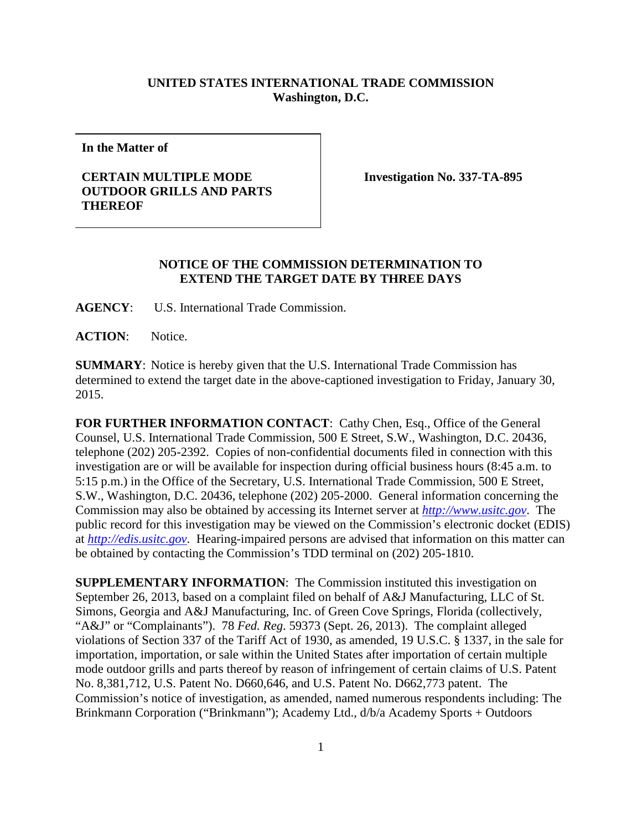## **UNITED STATES INTERNATIONAL TRADE COMMISSION Washington, D.C.**

**In the Matter of**

## **CERTAIN MULTIPLE MODE OUTDOOR GRILLS AND PARTS THEREOF**

**Investigation No. 337-TA-895**

## **NOTICE OF THE COMMISSION DETERMINATION TO EXTEND THE TARGET DATE BY THREE DAYS**

**AGENCY**: U.S. International Trade Commission.

**ACTION**: Notice.

**SUMMARY**: Notice is hereby given that the U.S. International Trade Commission has determined to extend the target date in the above-captioned investigation to Friday, January 30, 2015.

FOR FURTHER INFORMATION CONTACT: Cathy Chen, Esq., Office of the General Counsel, U.S. International Trade Commission, 500 E Street, S.W., Washington, D.C. 20436, telephone (202) 205-2392. Copies of non-confidential documents filed in connection with this investigation are or will be available for inspection during official business hours (8:45 a.m. to 5:15 p.m.) in the Office of the Secretary, U.S. International Trade Commission, 500 E Street, S.W., Washington, D.C. 20436, telephone (202) 205-2000. General information concerning the Commission may also be obtained by accessing its Internet server at *[http://www.usitc.gov](http://www.usitc.gov/)*. The public record for this investigation may be viewed on the Commission's electronic docket (EDIS) at *[http://edis.usitc.gov](http://edis.usitc.gov/)*. Hearing-impaired persons are advised that information on this matter can be obtained by contacting the Commission's TDD terminal on (202) 205-1810.

**SUPPLEMENTARY INFORMATION**: The Commission instituted this investigation on September 26, 2013, based on a complaint filed on behalf of A&J Manufacturing, LLC of St. Simons, Georgia and A&J Manufacturing, Inc. of Green Cove Springs, Florida (collectively, "A&J" or "Complainants"). 78 *Fed. Reg*. 59373 (Sept. 26, 2013). The complaint alleged violations of Section 337 of the Tariff Act of 1930, as amended, 19 U.S.C. § 1337, in the sale for importation, importation, or sale within the United States after importation of certain multiple mode outdoor grills and parts thereof by reason of infringement of certain claims of U.S. Patent No. 8,381,712, U.S. Patent No. D660,646, and U.S. Patent No. D662,773 patent. The Commission's notice of investigation, as amended, named numerous respondents including: The Brinkmann Corporation ("Brinkmann"); Academy Ltd., d/b/a Academy Sports + Outdoors